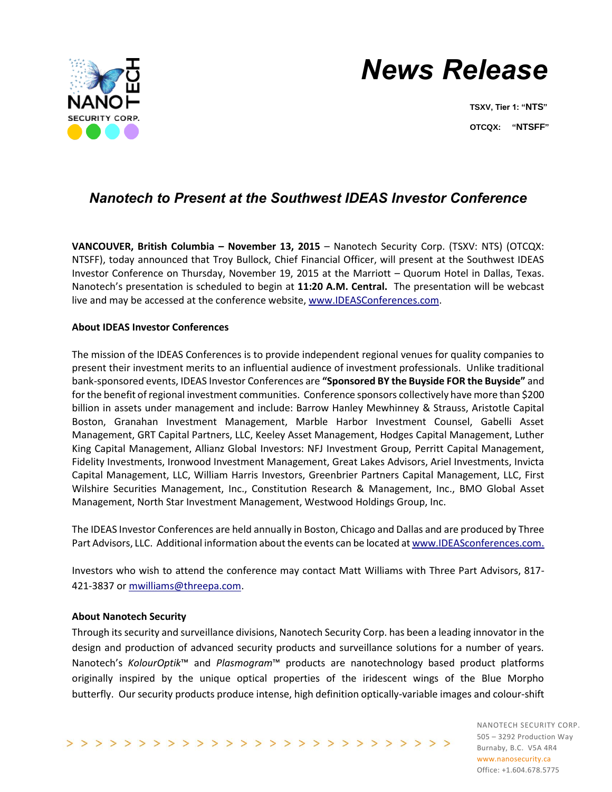

# *News Release*

**TSXV, Tier 1: "NTS" OTCQX: "NTSFF"**

## *Nanotech to Present at the Southwest IDEAS Investor Conference*

**VANCOUVER, British Columbia – November 13, 2015** – Nanotech Security Corp. (TSXV: NTS) (OTCQX: NTSFF), today announced that Troy Bullock, Chief Financial Officer, will present at the Southwest IDEAS Investor Conference on Thursday, November 19, 2015 at the Marriott – Quorum Hotel in Dallas, Texas. Nanotech's presentation is scheduled to begin at **11:20 A.M. Central.** The presentation will be webcast live and may be accessed at the conference website, [www.IDEASConferences.com.](http://www.ideasconferences.com/)

### **About IDEAS Investor Conferences**

The mission of the IDEAS Conferences is to provide independent regional venues for quality companies to present their investment merits to an influential audience of investment professionals. Unlike traditional bank-sponsored events, IDEAS Investor Conferences are **"Sponsored BY the Buyside FOR the Buyside"** and for the benefit of regional investment communities. Conference sponsors collectively have more than \$200 billion in assets under management and include: Barrow Hanley Mewhinney & Strauss, Aristotle Capital Boston, Granahan Investment Management, Marble Harbor Investment Counsel, Gabelli Asset Management, GRT Capital Partners, LLC, Keeley Asset Management, Hodges Capital Management, Luther King Capital Management, Allianz Global Investors: NFJ Investment Group, Perritt Capital Management, Fidelity Investments, Ironwood Investment Management, Great Lakes Advisors, Ariel Investments, Invicta Capital Management, LLC, William Harris Investors, Greenbrier Partners Capital Management, LLC, First Wilshire Securities Management, Inc., Constitution Research & Management, Inc., BMO Global Asset Management, North Star Investment Management, Westwood Holdings Group, Inc.

The IDEAS Investor Conferences are held annually in Boston, Chicago and Dallas and are produced by Three Part Advisors, LLC. Additional information about the events can be located a[t www.IDEASconferences.com.](http://www.ideasconferences.com/)

Investors who wish to attend the conference may contact Matt Williams with Three Part Advisors, 817- 421-3837 or [mwilliams@threepa.com.](mailto:mwilliams@threepa.com)

### **About Nanotech Security**

Through its security and surveillance divisions, Nanotech Security Corp. has been a leading innovator in the design and production of advanced security products and surveillance solutions for a number of years. Nanotech's *KolourOptik*™ and *Plasmogram*™ products are nanotechnology based product platforms originally inspired by the unique optical properties of the iridescent wings of the Blue Morpho butterfly. Our security products produce intense, high definition optically-variable images and colour-shift

>>>>>>>>>>>>>>>>>>>>>>>>>>>>>>>

NANOTECH SECURITY CORP. 505 – 3292 Production Way Burnaby, B.C. V5A 4R4 www.nanosecurity.ca Office: +1.604.678.5775